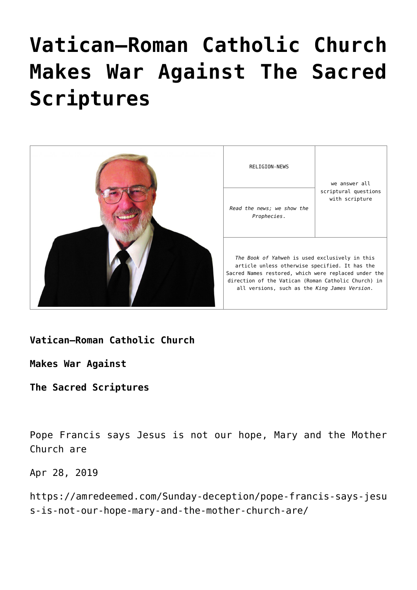# **[Vatican–Roman Catholic Church](https://yahwehsbranch.com/vatican-roman-catholic-church-makes-war-against-the-sacred-scriptures/) [Makes War Against The Sacred](https://yahwehsbranch.com/vatican-roman-catholic-church-makes-war-against-the-sacred-scriptures/) [Scriptures](https://yahwehsbranch.com/vatican-roman-catholic-church-makes-war-against-the-sacred-scriptures/)**



**Vatican–Roman Catholic Church**

**Makes War Against**

**The Sacred Scriptures**

Pope Francis says Jesus is not our hope, Mary and the Mother Church are

Apr 28, 2019

https://amredeemed.com/Sunday-deception/pope-francis-says-jesu s-is-not-our-hope-mary-and-the-mother-church-are/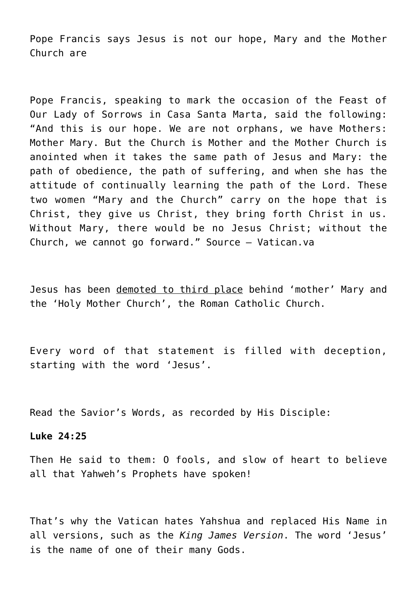Pope Francis says Jesus is not our hope, Mary and the Mother Church are

Pope Francis, speaking to mark the occasion of the Feast of Our Lady of Sorrows in Casa Santa Marta, said the following: "And this is our hope. We are not orphans, we have Mothers: Mother Mary. But the Church is Mother and the Mother Church is anointed when it takes the same path of Jesus and Mary: the path of obedience, the path of suffering, and when she has the attitude of continually learning the path of the Lord. These two women "Mary and the Church" carry on the hope that is Christ, they give us Christ, they bring forth Christ in us. Without Mary, there would be no Jesus Christ; without the Church, we cannot go forward." Source – Vatican.va

Jesus has been demoted to third place behind 'mother' Mary and the 'Holy Mother Church', the Roman Catholic Church.

Every word of that statement is filled with deception, starting with the word 'Jesus'.

Read the Savior's Words, as recorded by His Disciple:

#### **Luke 24:25**

Then He said to them: O fools, and slow of heart to believe all that Yahweh's Prophets have spoken!

That's why the Vatican hates Yahshua and replaced His Name in all versions, such as the *King James Version*. The word 'Jesus' is the name of one of their many Gods.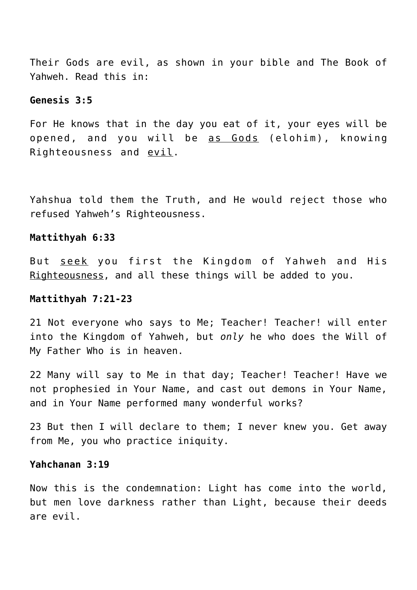Their Gods are evil, as shown in your bible and The Book of Yahweh. Read this in:

# **Genesis 3:5**

For He knows that in the day you eat of it, your eyes will be opened, and you will be as Gods (elohim), knowing Righteousness and evil.

Yahshua told them the Truth, and He would reject those who refused Yahweh's Righteousness.

#### **Mattithyah 6:33**

But seek you first the Kingdom of Yahweh and His Righteousness, and all these things will be added to you.

#### **Mattithyah 7:21-23**

21 Not everyone who says to Me; Teacher! Teacher! will enter into the Kingdom of Yahweh, but *only* he who does the Will of My Father Who is in heaven.

22 Many will say to Me in that day; Teacher! Teacher! Have we not prophesied in Your Name, and cast out demons in Your Name, and in Your Name performed many wonderful works?

23 But then I will declare to them; I never knew you. Get away from Me, you who practice iniquity.

# **Yahchanan 3:19**

Now this is the condemnation: Light has come into the world, but men love darkness rather than Light, because their deeds are evil.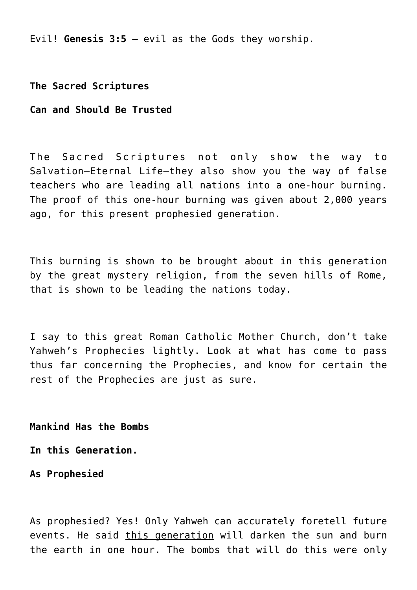Evil! **Genesis 3:5** – evil as the Gods they worship.

**The Sacred Scriptures**

# **Can and Should Be Trusted**

The Sacred Scriptures not only show the way to Salvation—Eternal Life—they also show you the way of false teachers who are leading all nations into a one-hour burning. The proof of this one-hour burning was given about 2,000 years ago, for this present prophesied generation.

This burning is shown to be brought about in this generation by the great mystery religion, from the seven hills of Rome, that is shown to be leading the nations today.

I say to this great Roman Catholic Mother Church, don't take Yahweh's Prophecies lightly. Look at what has come to pass thus far concerning the Prophecies, and know for certain the rest of the Prophecies are just as sure.

**Mankind Has the Bombs**

**In this Generation.**

**As Prophesied**

As prophesied? Yes! Only Yahweh can accurately foretell future events. He said this generation will darken the sun and burn the earth in one hour. The bombs that will do this were only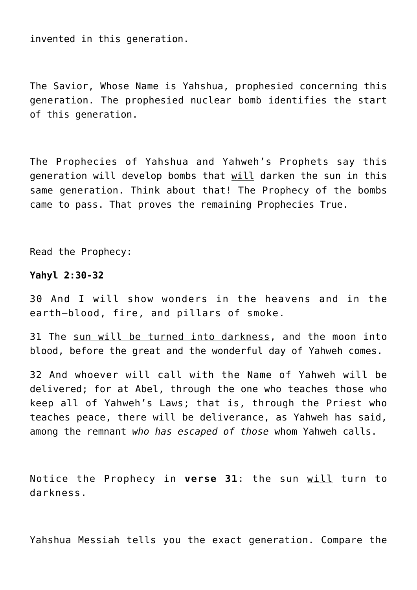invented in this generation.

The Savior, Whose Name is Yahshua, prophesied concerning this generation. The prophesied nuclear bomb identifies the start of this generation.

The Prophecies of Yahshua and Yahweh's Prophets say this generation will develop bombs that will darken the sun in this same generation. Think about that! The Prophecy of the bombs came to pass. That proves the remaining Prophecies True.

Read the Prophecy:

#### **Yahyl 2:30-32**

30 And I will show wonders in the heavens and in the earth—blood, fire, and pillars of smoke.

31 The sun will be turned into darkness, and the moon into blood, before the great and the wonderful day of Yahweh comes.

32 And whoever will call with the Name of Yahweh will be delivered; for at Abel, through the one who teaches those who keep all of Yahweh's Laws; that is, through the Priest who teaches peace, there will be deliverance, as Yahweh has said, among the remnant *who has escaped of those* whom Yahweh calls.

Notice the Prophecy in **verse 31**: the sun will turn to darkness.

Yahshua Messiah tells you the exact generation. Compare the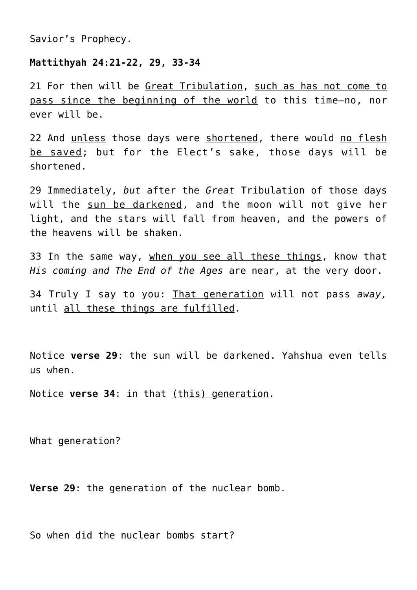Savior's Prophecy.

#### **Mattithyah 24:21-22, 29, 33-34**

21 For then will be Great Tribulation, such as has not come to pass since the beginning of the world to this time—no, nor ever will be.

22 And unless those days were shortened, there would no flesh be saved; but for the Elect's sake, those days will be shortened.

29 Immediately, *but* after the *Great* Tribulation of those days will the sun be darkened, and the moon will not give her light, and the stars will fall from heaven, and the powers of the heavens will be shaken.

33 In the same way, when you see all these things, know that *His coming and The End of the Ages* are near, at the very door.

34 Truly I say to you: That generation will not pass *away,* until all these things are fulfilled.

Notice **verse 29**: the sun will be darkened. Yahshua even tells us when.

Notice **verse 34**: in that (this) generation.

What generation?

**Verse 29**: the generation of the nuclear bomb.

So when did the nuclear bombs start?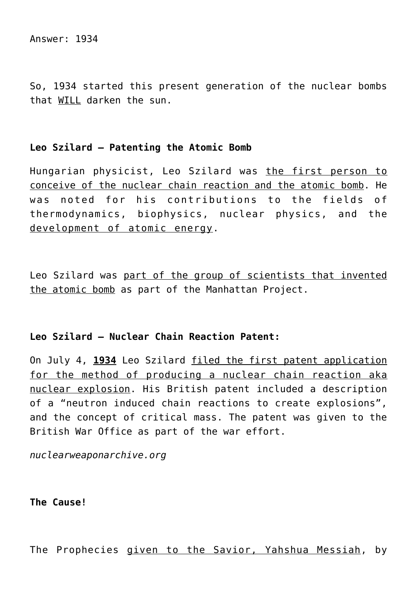Answer: 1934

So, 1934 started this present generation of the nuclear bombs that WILL darken the sun.

# **Leo Szilard – Patenting the Atomic Bomb**

Hungarian physicist, Leo Szilard was the first person to conceive of the nuclear chain reaction and the atomic bomb. He was noted for his contributions to the fields of thermodynamics, biophysics, nuclear physics, and the development of atomic energy.

Leo Szilard was part of the group of scientists that invented the atomic bomb as part of the Manhattan Project.

# **Leo Szilard – Nuclear Chain Reaction Patent:**

On July 4, **1934** Leo Szilard filed the first patent application for the method of producing a nuclear chain reaction aka nuclear explosion. His British patent included a description of a "neutron induced chain reactions to create explosions", and the concept of critical mass. The patent was given to the British War Office as part of the war effort.

*nuclearweaponarchive.org*

**The Cause!**

The Prophecies given to the Savior, Yahshua Messiah, by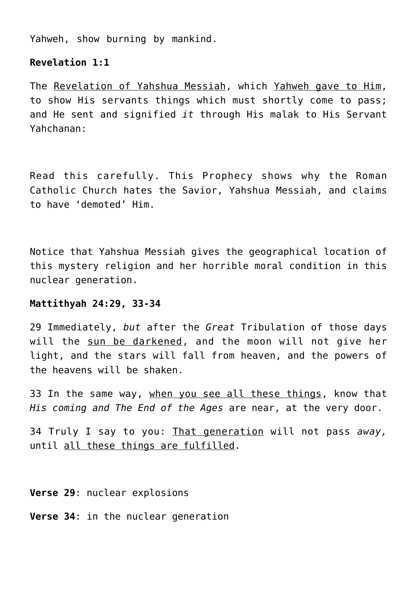Yahweh, show burning by mankind.

# **Revelation 1:1**

The Revelation of Yahshua Messiah, which Yahweh gave to Him, to show His servants things which must shortly come to pass; and He sent and signified *it* through His malak to His Servant Yahchanan:

Read this carefully. This Prophecy shows why the Roman Catholic Church hates the Savior, Yahshua Messiah, and claims to have 'demoted' Him.

Notice that Yahshua Messiah gives the geographical location of this mystery religion and her horrible moral condition in this nuclear generation.

# **Mattithyah 24:29, 33-34**

29 Immediately, *but* after the *Great* Tribulation of those days will the sun be darkened, and the moon will not give her light, and the stars will fall from heaven, and the powers of the heavens will be shaken.

33 In the same way, when you see all these things, know that *His coming and The End of the Ages* are near, at the very door.

34 Truly I say to you: That generation will not pass *away,* until all these things are fulfilled.

**Verse 29**: nuclear explosions

**Verse 34**: in the nuclear generation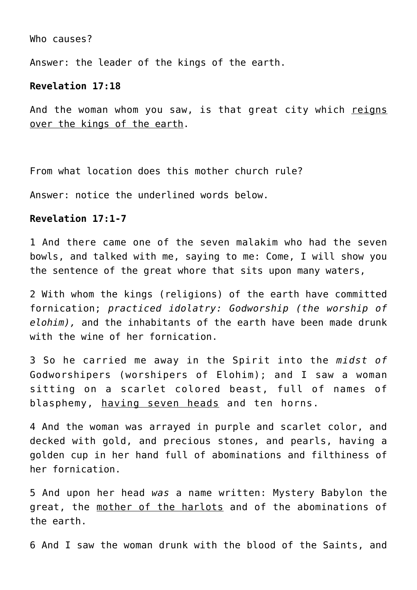Who causes?

Answer: the leader of the kings of the earth.

# **Revelation 17:18**

And the woman whom you saw, is that great city which reigns over the kings of the earth.

From what location does this mother church rule?

Answer: notice the underlined words below.

#### **Revelation 17:1-7**

1 And there came one of the seven malakim who had the seven bowls, and talked with me, saying to me: Come, I will show you the sentence of the great whore that sits upon many waters,

2 With whom the kings (religions) of the earth have committed fornication; *practiced idolatry: Godworship (the worship of elohim),* and the inhabitants of the earth have been made drunk with the wine of her fornication.

3 So he carried me away in the Spirit into the *midst of* Godworshipers (worshipers of Elohim); and I saw a woman sitting on a scarlet colored beast, full of names of blasphemy, having seven heads and ten horns.

4 And the woman was arrayed in purple and scarlet color, and decked with gold, and precious stones, and pearls, having a golden cup in her hand full of abominations and filthiness of her fornication.

5 And upon her head *was* a name written: Mystery Babylon the great, the mother of the harlots and of the abominations of the earth.

6 And I saw the woman drunk with the blood of the Saints, and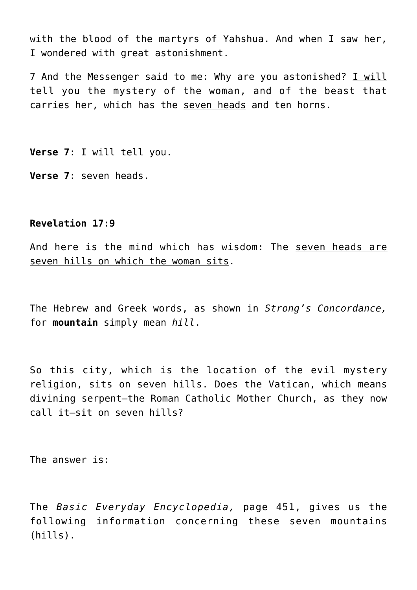with the blood of the martyrs of Yahshua. And when I saw her, I wondered with great astonishment.

7 And the Messenger said to me: Why are you astonished? I will tell you the mystery of the woman, and of the beast that carries her, which has the seven heads and ten horns.

**Verse 7**: I will tell you.

**Verse 7**: seven heads.

# **Revelation 17:9**

And here is the mind which has wisdom: The seven heads are seven hills on which the woman sits.

The Hebrew and Greek words, as shown in *Strong's Concordance,* for **mountain** simply mean *hill*.

So this city, which is the location of the evil mystery religion, sits on seven hills. Does the Vatican, which means divining serpent—the Roman Catholic Mother Church, as they now call it—sit on seven hills?

The answer is:

The *Basic Everyday Encyclopedia,* page 451, gives us the following information concerning these seven mountains (hills).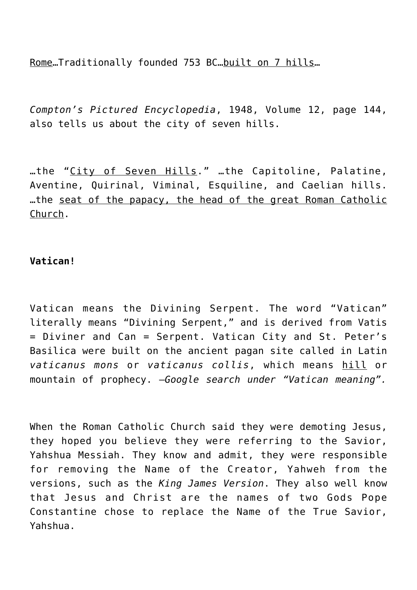Rome…Traditionally founded 753 BC…built on 7 hills…

*Compton's Pictured Encyclopedia*, 1948, Volume 12, page 144, also tells us about the city of seven hills.

…the "City of Seven Hills." …the Capitoline, Palatine, Aventine, Quirinal, Viminal, Esquiline, and Caelian hills. …the seat of the papacy, the head of the great Roman Catholic Church.

# **Vatican!**

Vatican means the Divining Serpent. The word "Vatican" literally means "Divining Serpent," and is derived from Vatis = Diviner and Can = Serpent. Vatican City and St. Peter's Basilica were built on the ancient pagan site called in Latin *vaticanus mons* or *vaticanus collis*, which means hill or mountain of prophecy. —*Google search under "Vatican meaning".*

When the Roman Catholic Church said they were demoting Jesus, they hoped you believe they were referring to the Savior, Yahshua Messiah. They know and admit, they were responsible for removing the Name of the Creator, Yahweh from the versions, such as the *King James Version*. They also well know that Jesus and Christ are the names of two Gods Pope Constantine chose to replace the Name of the True Savior, Yahshua.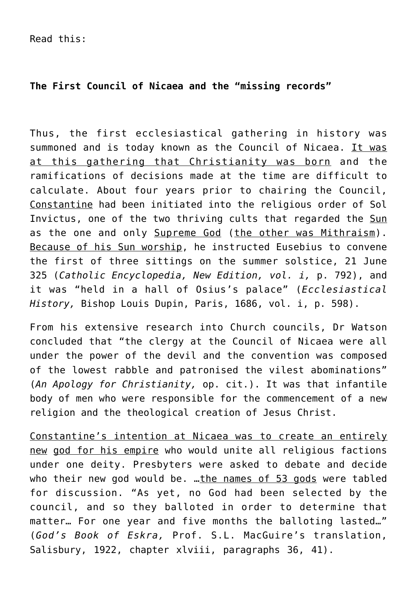# **The First Council of Nicaea and the "missing records"**

Thus, the first ecclesiastical gathering in history was summoned and is today known as the Council of Nicaea. It was at this gathering that Christianity was born and the ramifications of decisions made at the time are difficult to calculate. About four years prior to chairing the Council, Constantine had been initiated into the religious order of Sol Invictus, one of the two thriving cults that regarded the Sun as the one and only Supreme God (the other was Mithraism). Because of his Sun worship, he instructed Eusebius to convene the first of three sittings on the summer solstice, 21 June 325 (*Catholic Encyclopedia, New Edition, vol. i,* p. 792), and it was "held in a hall of Osius's palace" (*Ecclesiastical History,* Bishop Louis Dupin, Paris, 1686, vol. i, p. 598).

From his extensive research into Church councils, Dr Watson concluded that "the clergy at the Council of Nicaea were all under the power of the devil and the convention was composed of the lowest rabble and patronised the vilest abominations" (*An Apology for Christianity,* op. cit.). It was that infantile body of men who were responsible for the commencement of a new religion and the theological creation of Jesus Christ.

Constantine's intention at Nicaea was to create an entirely new god for his empire who would unite all religious factions under one deity. Presbyters were asked to debate and decide who their new god would be. …the names of 53 gods were tabled for discussion. "As yet, no God had been selected by the council, and so they balloted in order to determine that matter… For one year and five months the balloting lasted…" (*God's Book of Eskra,* Prof. S.L. MacGuire's translation, Salisbury, 1922, chapter xlviii, paragraphs 36, 41).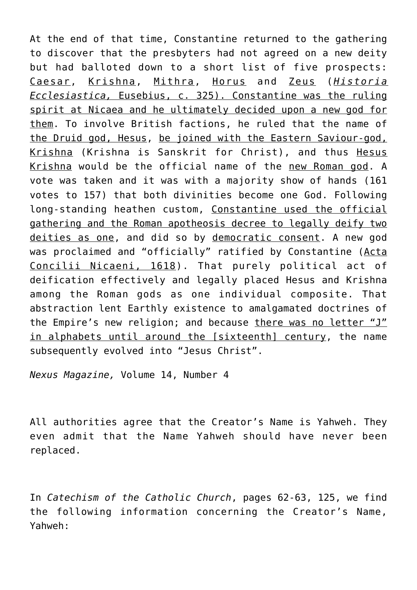At the end of that time, Constantine returned to the gathering to discover that the presbyters had not agreed on a new deity but had balloted down to a short list of five prospects: Caesar, Krishna, Mithra, Horus and Zeus (*Historia Ecclesiastica,* Eusebius, c. 325). Constantine was the ruling spirit at Nicaea and he ultimately decided upon a new god for them. To involve British factions, he ruled that the name of the Druid god, Hesus, be joined with the Eastern Saviour-god, Krishna (Krishna is Sanskrit for Christ), and thus Hesus Krishna would be the official name of the new Roman god. A vote was taken and it was with a majority show of hands (161 votes to 157) that both divinities become one God. Following long-standing heathen custom, Constantine used the official gathering and the Roman apotheosis decree to legally deify two deities as one, and did so by democratic consent. A new god was proclaimed and "officially" ratified by Constantine (Acta Concilii Nicaeni, 1618). That purely political act of deification effectively and legally placed Hesus and Krishna among the Roman gods as one individual composite. That abstraction lent Earthly existence to amalgamated doctrines of the Empire's new religion; and because there was no letter "J" in alphabets until around the [sixteenth] century, the name subsequently evolved into "Jesus Christ".

*Nexus Magazine,* Volume 14, Number 4

All authorities agree that the Creator's Name is Yahweh. They even admit that the Name Yahweh should have never been replaced.

In *Catechism of the Catholic Church*, pages 62-63, 125, we find the following information concerning the Creator's Name, Yahweh: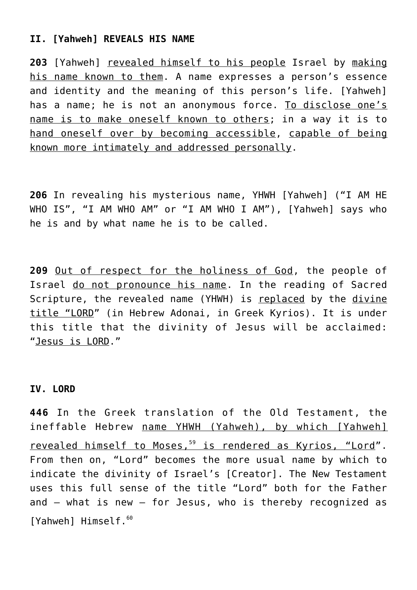# **II. [Yahweh] REVEALS HIS NAME**

**203** [Yahweh] revealed himself to his people Israel by making his name known to them. A name expresses a person's essence and identity and the meaning of this person's life. [Yahweh] has a name; he is not an anonymous force. To disclose one's name is to make oneself known to others; in a way it is to hand oneself over by becoming accessible, capable of being known more intimately and addressed personally.

**206** In revealing his mysterious name, YHWH [Yahweh] ("I AM HE WHO IS", "I AM WHO AM" or "I AM WHO I AM"), [Yahweh] says who he is and by what name he is to be called.

**209** Out of respect for the holiness of God, the people of Israel do not pronounce his name. In the reading of Sacred Scripture, the revealed name (YHWH) is replaced by the divine title "LORD" (in Hebrew Adonai, in Greek Kyrios). It is under this title that the divinity of Jesus will be acclaimed: "Jesus is LORD."

# **IV. LORD**

**446** In the Greek translation of the Old Testament, the ineffable Hebrew name YHWH (Yahweh), by which [Yahweh] revealed himself to Moses,<sup>59</sup> is rendered as Kyrios, "Lord". From then on, "Lord" becomes the more usual name by which to indicate the divinity of Israel's [Creator]. The New Testament uses this full sense of the title "Lord" both for the Father and – what is new – for Jesus, who is thereby recognized as [Yahweh] Himself.<sup>60</sup>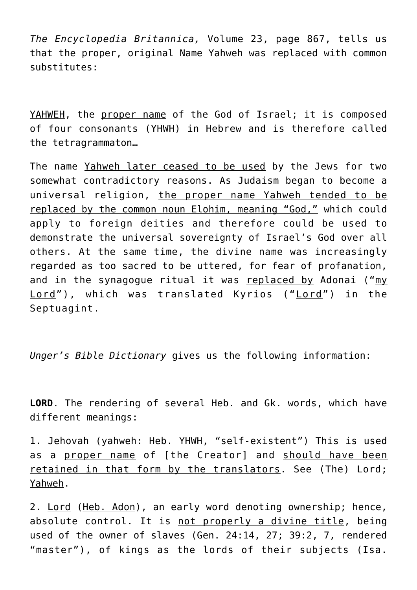*The Encyclopedia Britannica,* Volume 23, page 867, tells us that the proper, original Name Yahweh was replaced with common substitutes:

YAHWEH, the proper name of the God of Israel; it is composed of four consonants (YHWH) in Hebrew and is therefore called the tetragrammaton…

The name Yahweh later ceased to be used by the Jews for two somewhat contradictory reasons. As Judaism began to become a universal religion, the proper name Yahweh tended to be replaced by the common noun Elohim, meaning "God," which could apply to foreign deities and therefore could be used to demonstrate the universal sovereignty of Israel's God over all others. At the same time, the divine name was increasingly regarded as too sacred to be uttered, for fear of profanation, and in the synagogue ritual it was replaced by Adonai ("my Lord"), which was translated Kyrios ("Lord") in the Septuagint.

*Unger's Bible Dictionary* gives us the following information:

**LORD**. The rendering of several Heb. and Gk. words, which have different meanings:

1. Jehovah (yahweh: Heb. YHWH, "self-existent") This is used as a proper name of [the Creator] and should have been retained in that form by the translators. See (The) Lord; Yahweh.

2. Lord (Heb. Adon), an early word denoting ownership; hence, absolute control. It is not properly a divine title, being used of the owner of slaves (Gen. 24:14, 27; 39:2, 7, rendered "master"), of kings as the lords of their subjects (Isa.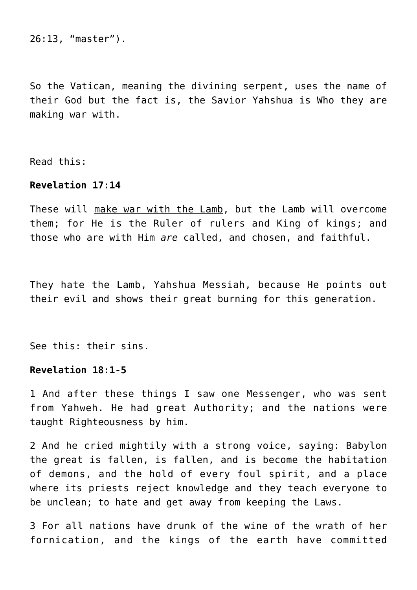26:13, "master").

So the Vatican, meaning the divining serpent, uses the name of their God but the fact is, the Savior Yahshua is Who they are making war with.

Read this:

# **Revelation 17:14**

These will make war with the Lamb, but the Lamb will overcome them; for He is the Ruler of rulers and King of kings; and those who are with Him *are* called, and chosen, and faithful.

They hate the Lamb, Yahshua Messiah, because He points out their evil and shows their great burning for this generation.

See this: their sins.

# **Revelation 18:1-5**

1 And after these things I saw one Messenger, who was sent from Yahweh. He had great Authority; and the nations were taught Righteousness by him.

2 And he cried mightily with a strong voice, saying: Babylon the great is fallen, is fallen, and is become the habitation of demons, and the hold of every foul spirit, and a place where its priests reject knowledge and they teach everyone to be unclean; to hate and get away from keeping the Laws.

3 For all nations have drunk of the wine of the wrath of her fornication, and the kings of the earth have committed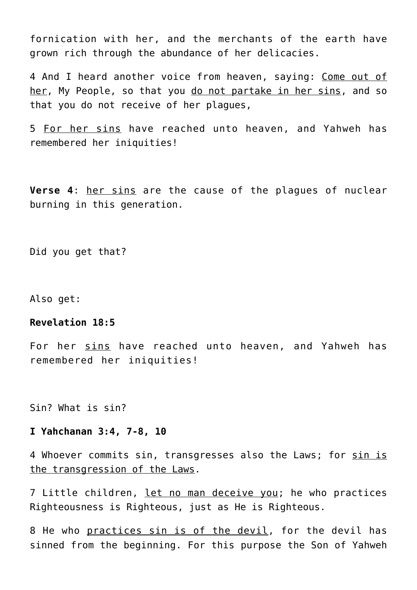fornication with her, and the merchants of the earth have grown rich through the abundance of her delicacies.

4 And I heard another voice from heaven, saying: Come out of her, My People, so that you do not partake in her sins, and so that you do not receive of her plagues,

5 For her sins have reached unto heaven, and Yahweh has remembered her iniquities!

**Verse 4**: her sins are the cause of the plagues of nuclear burning in this generation.

Did you get that?

Also get:

# **Revelation 18:5**

For her sins have reached unto heaven, and Yahweh has remembered her iniquities!

Sin? What is sin?

#### **I Yahchanan 3:4, 7-8, 10**

4 Whoever commits sin, transgresses also the Laws; for sin is the transgression of the Laws.

7 Little children, let no man deceive you; he who practices Righteousness is Righteous, just as He is Righteous.

8 He who practices sin is of the devil, for the devil has sinned from the beginning. For this purpose the Son of Yahweh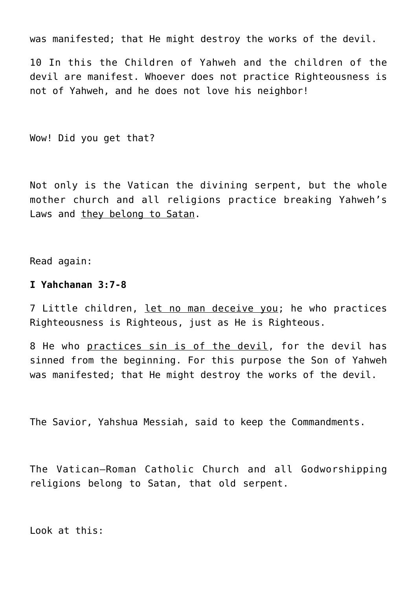was manifested; that He might destroy the works of the devil.

10 In this the Children of Yahweh and the children of the devil are manifest. Whoever does not practice Righteousness is not of Yahweh, and he does not love his neighbor!

Wow! Did you get that?

Not only is the Vatican the divining serpent, but the whole mother church and all religions practice breaking Yahweh's Laws and they belong to Satan.

Read again:

## **I Yahchanan 3:7-8**

7 Little children, let no man deceive you; he who practices Righteousness is Righteous, just as He is Righteous.

8 He who practices sin is of the devil, for the devil has sinned from the beginning. For this purpose the Son of Yahweh was manifested; that He might destroy the works of the devil.

The Savior, Yahshua Messiah, said to keep the Commandments.

The Vatican–Roman Catholic Church and all Godworshipping religions belong to Satan, that old serpent.

Look at this: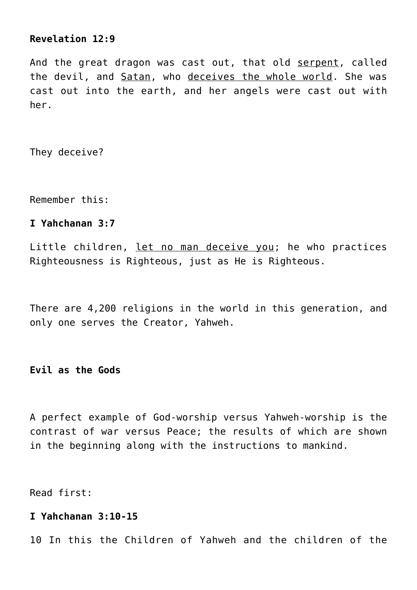# **Revelation 12:9**

And the great dragon was cast out, that old serpent, called the devil, and Satan, who deceives the whole world. She was cast out into the earth, and her angels were cast out with her.

They deceive?

Remember this:

# **I Yahchanan 3:7**

Little children, let no man deceive you; he who practices Righteousness is Righteous, just as He is Righteous.

There are 4,200 religions in the world in this generation, and only one serves the Creator, Yahweh.

**Evil as the Gods**

A perfect example of God-worship versus Yahweh-worship is the contrast of war versus Peace; the results of which are shown in the beginning along with the instructions to mankind.

Read first:

#### **I Yahchanan 3:10-15**

10 In this the Children of Yahweh and the children of the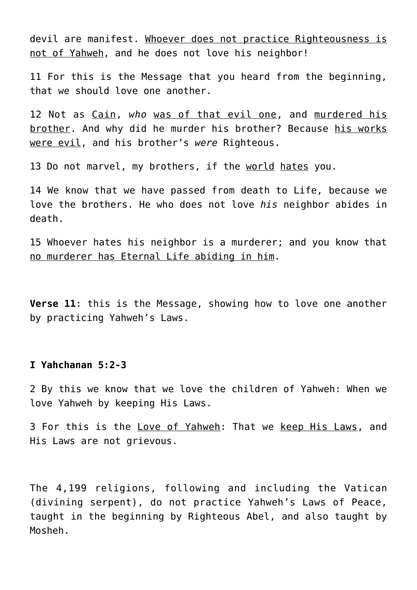devil are manifest. Whoever does not practice Righteousness is not of Yahweh, and he does not love his neighbor!

11 For this is the Message that you heard from the beginning, that we should love one another.

12 Not as Cain, *who* was of that evil one, and murdered his brother. And why did he murder his brother? Because his works were evil, and his brother's *were* Righteous.

13 Do not marvel, my brothers, if the world hates you.

14 We know that we have passed from death to Life, because we love the brothers. He who does not love *his* neighbor abides in death.

15 Whoever hates his neighbor is a murderer; and you know that no murderer has Eternal Life abiding in him.

**Verse 11**: this is the Message, showing how to love one another by practicing Yahweh's Laws.

# **I Yahchanan 5:2-3**

2 By this we know that we love the children of Yahweh: When we love Yahweh by keeping His Laws.

3 For this is the Love of Yahweh: That we keep His Laws, and His Laws are not grievous.

The 4,199 religions, following and including the Vatican (divining serpent), do not practice Yahweh's Laws of Peace, taught in the beginning by Righteous Abel, and also taught by Mosheh.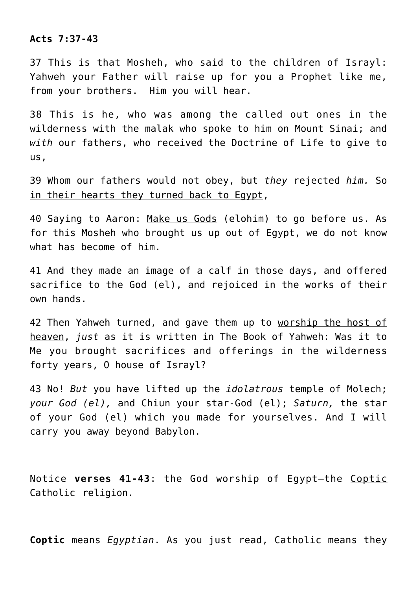# **Acts 7:37-43**

37 This is that Mosheh, who said to the children of Israyl: Yahweh your Father will raise up for you a Prophet like me, from your brothers. Him you will hear.

38 This is he, who was among the called out ones in the wilderness with the malak who spoke to him on Mount Sinai; and *with* our fathers, who received the Doctrine of Life to give to us,

39 Whom our fathers would not obey, but *they* rejected *him.* So in their hearts they turned back to Egypt,

40 Saying to Aaron: Make us Gods (elohim) to go before us. As for this Mosheh who brought us up out of Egypt, we do not know what has become of him.

41 And they made an image of a calf in those days, and offered sacrifice to the God (el), and rejoiced in the works of their own hands.

42 Then Yahweh turned, and gave them up to worship the host of heaven, *just* as it is written in The Book of Yahweh: Was it to Me you brought sacrifices and offerings in the wilderness forty years, O house of Israyl?

43 No! *But* you have lifted up the *idolatrous* temple of Molech; *your God (el),* and Chiun your star-God (el); *Saturn,* the star of your God (el) which you made for yourselves. And I will carry you away beyond Babylon.

Notice **verses 41-43**: the God worship of Egypt—the Coptic Catholic religion.

**Coptic** means *Egyptian*. As you just read, Catholic means they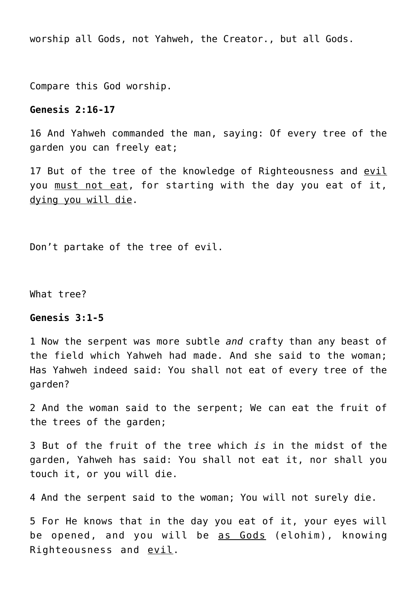worship all Gods, not Yahweh, the Creator., but all Gods.

Compare this God worship.

#### **Genesis 2:16-17**

16 And Yahweh commanded the man, saying: Of every tree of the garden you can freely eat;

17 But of the tree of the knowledge of Righteousness and evil you must not eat, for starting with the day you eat of it, dying you will die.

Don't partake of the tree of evil.

What tree?

#### **Genesis 3:1-5**

1 Now the serpent was more subtle *and* crafty than any beast of the field which Yahweh had made. And she said to the woman; Has Yahweh indeed said: You shall not eat of every tree of the garden?

2 And the woman said to the serpent; We can eat the fruit of the trees of the garden;

3 But of the fruit of the tree which *is* in the midst of the garden, Yahweh has said: You shall not eat it, nor shall you touch it, or you will die.

4 And the serpent said to the woman; You will not surely die.

5 For He knows that in the day you eat of it, your eyes will be opened, and you will be as Gods (elohim), knowing Righteousness and evil.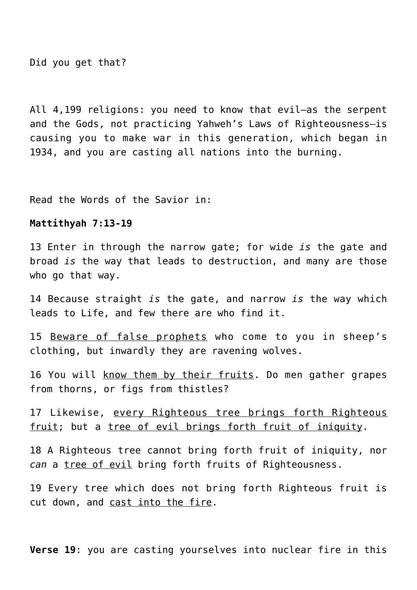Did you get that?

All 4,199 religions: you need to know that evil—as the serpent and the Gods, not practicing Yahweh's Laws of Righteousness—is causing you to make war in this generation, which began in 1934, and you are casting all nations into the burning.

Read the Words of the Savior in:

#### **Mattithyah 7:13-19**

13 Enter in through the narrow gate; for wide *is* the gate and broad *is* the way that leads to destruction, and many are those who go that way.

14 Because straight *is* the gate, and narrow *is* the way which leads to Life, and few there are who find it.

15 Beware of false prophets who come to you in sheep's clothing, but inwardly they are ravening wolves.

16 You will know them by their fruits. Do men gather grapes from thorns, or figs from thistles?

17 Likewise, every Righteous tree brings forth Righteous fruit; but a tree of evil brings forth fruit of iniquity.

18 A Righteous tree cannot bring forth fruit of iniquity, nor *can* a tree of evil bring forth fruits of Righteousness.

19 Every tree which does not bring forth Righteous fruit is cut down, and cast into the fire.

**Verse 19**: you are casting yourselves into nuclear fire in this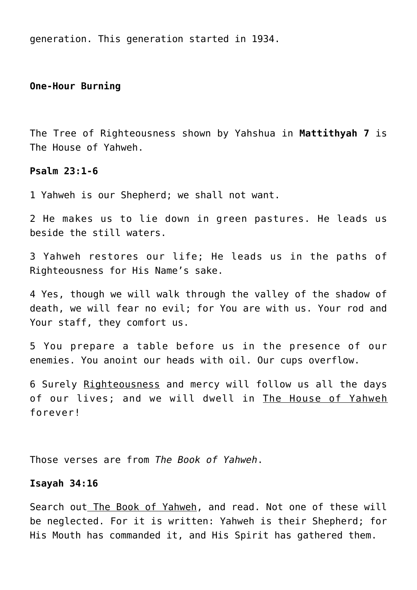generation. This generation started in 1934.

# **One-Hour Burning**

The Tree of Righteousness shown by Yahshua in **Mattithyah 7** is The House of Yahweh.

#### **Psalm 23:1-6**

1 Yahweh is our Shepherd; we shall not want.

2 He makes us to lie down in green pastures. He leads us beside the still waters.

3 Yahweh restores our life; He leads us in the paths of Righteousness for His Name's sake.

4 Yes, though we will walk through the valley of the shadow of death, we will fear no evil; for You are with us. Your rod and Your staff, they comfort us.

5 You prepare a table before us in the presence of our enemies. You anoint our heads with oil. Our cups overflow.

6 Surely Righteousness and mercy will follow us all the days of our lives; and we will dwell in The House of Yahweh forever!

Those verses are from *The Book of Yahweh*.

# **Isayah 34:16**

Search out The Book of Yahweh, and read. Not one of these will be neglected. For it is written: Yahweh is their Shepherd; for His Mouth has commanded it, and His Spirit has gathered them.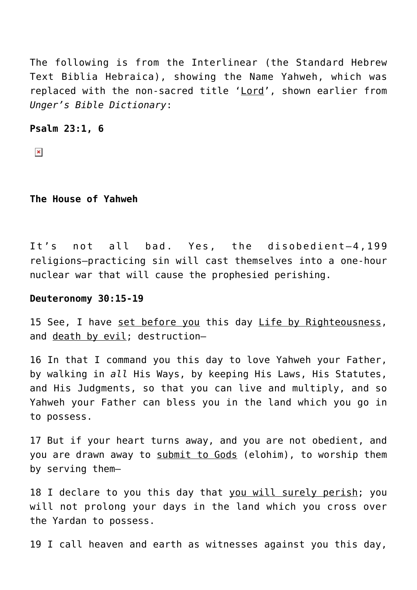The following is from the Interlinear (the Standard Hebrew Text Biblia Hebraica), showing the Name Yahweh, which was replaced with the non-sacred title 'Lord', shown earlier from *Unger's Bible Dictionary*:

**Psalm 23:1, 6**

 $\pmb{\times}$ 

**The House of Yahweh**

It's not all bad. Yes, the disobedient—4,199 religions—practicing sin will cast themselves into a one-hour nuclear war that will cause the prophesied perishing.

# **Deuteronomy 30:15-19**

15 See, I have set before you this day Life by Righteousness, and death by evil; destruction—

16 In that I command you this day to love Yahweh your Father, by walking in *all* His Ways, by keeping His Laws, His Statutes, and His Judgments, so that you can live and multiply, and so Yahweh your Father can bless you in the land which you go in to possess.

17 But if your heart turns away, and you are not obedient, and you are drawn away to submit to Gods (elohim), to worship them by serving them—

18 I declare to you this day that you will surely perish; you will not prolong your days in the land which you cross over the Yardan to possess.

19 I call heaven and earth as witnesses against you this day,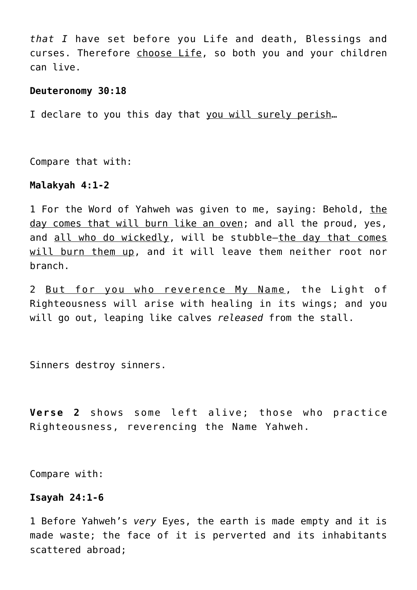*that I* have set before you Life and death, Blessings and curses. Therefore choose Life, so both you and your children can live.

#### **Deuteronomy 30:18**

I declare to you this day that you will surely perish…

Compare that with:

#### **Malakyah 4:1-2**

1 For the Word of Yahweh was given to me, saying: Behold, the day comes that will burn like an oven; and all the proud, yes, and all who do wickedly, will be stubble—the day that comes will burn them up, and it will leave them neither root nor branch.

2 But for you who reverence My Name, the Light of Righteousness will arise with healing in its wings; and you will go out, leaping like calves *released* from the stall.

Sinners destroy sinners.

**Verse 2** shows some left alive; those who practice Righteousness, reverencing the Name Yahweh.

Compare with:

# **Isayah 24:1-6**

1 Before Yahweh's *very* Eyes, the earth is made empty and it is made waste; the face of it is perverted and its inhabitants scattered abroad;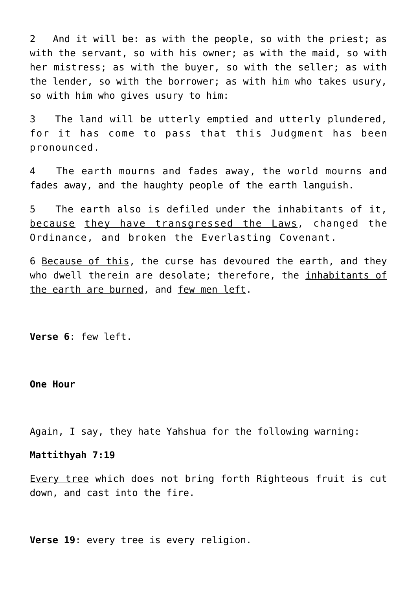2 And it will be: as with the people, so with the priest; as with the servant, so with his owner; as with the maid, so with her mistress; as with the buyer, so with the seller; as with the lender, so with the borrower; as with him who takes usury, so with him who gives usury to him:

3 The land will be utterly emptied and utterly plundered, for it has come to pass that this Judgment has been pronounced.

4 The earth mourns and fades away, the world mourns and fades away, and the haughty people of the earth languish.

5 The earth also is defiled under the inhabitants of it, because they have transgressed the Laws, changed the Ordinance, and broken the Everlasting Covenant.

6 Because of this, the curse has devoured the earth, and they who dwell therein are desolate; therefore, the inhabitants of the earth are burned, and few men left.

**Verse 6**: few left.

**One Hour**

Again, I say, they hate Yahshua for the following warning:

#### **Mattithyah 7:19**

Every tree which does not bring forth Righteous fruit is cut down, and cast into the fire.

**Verse 19**: every tree is every religion.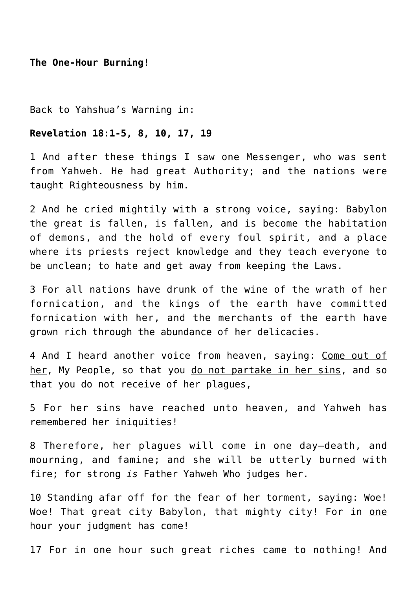**The One-Hour Burning!**

Back to Yahshua's Warning in:

#### **Revelation 18:1-5, 8, 10, 17, 19**

1 And after these things I saw one Messenger, who was sent from Yahweh. He had great Authority; and the nations were taught Righteousness by him.

2 And he cried mightily with a strong voice, saying: Babylon the great is fallen, is fallen, and is become the habitation of demons, and the hold of every foul spirit, and a place where its priests reject knowledge and they teach everyone to be unclean; to hate and get away from keeping the Laws.

3 For all nations have drunk of the wine of the wrath of her fornication, and the kings of the earth have committed fornication with her, and the merchants of the earth have grown rich through the abundance of her delicacies.

4 And I heard another voice from heaven, saying: Come out of her, My People, so that you do not partake in her sins, and so that you do not receive of her plagues,

5 For her sins have reached unto heaven, and Yahweh has remembered her iniquities!

8 Therefore, her plagues will come in one day—death, and mourning, and famine; and she will be utterly burned with fire; for strong *is* Father Yahweh Who judges her.

10 Standing afar off for the fear of her torment, saying: Woe! Woe! That great city Babylon, that mighty city! For in one hour your judgment has come!

17 For in <u>one hour</u> such great riches came to nothing! And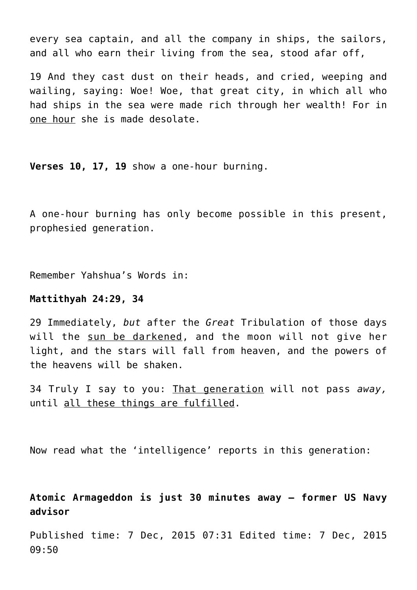every sea captain, and all the company in ships, the sailors, and all who earn their living from the sea, stood afar off,

19 And they cast dust on their heads, and cried, weeping and wailing, saying: Woe! Woe, that great city, in which all who had ships in the sea were made rich through her wealth! For in one hour she is made desolate.

**Verses 10, 17, 19** show a one-hour burning.

A one-hour burning has only become possible in this present, prophesied generation.

Remember Yahshua's Words in:

# **Mattithyah 24:29, 34**

29 Immediately, *but* after the *Great* Tribulation of those days will the sun be darkened, and the moon will not give her light, and the stars will fall from heaven, and the powers of the heavens will be shaken.

34 Truly I say to you: That generation will not pass *away,* until all these things are fulfilled.

Now read what the 'intelligence' reports in this generation:

**Atomic Armageddon is just 30 minutes away – former US Navy advisor**

Published time: 7 Dec, 2015 07:31 Edited time: 7 Dec, 2015 09:50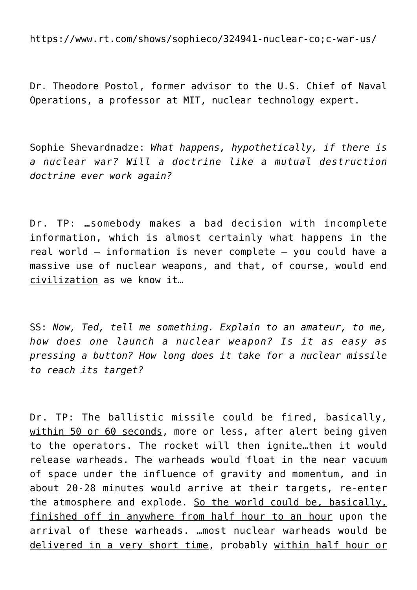https://www.rt.com/shows/sophieco/324941-nuclear-co;c-war-us/

Dr. Theodore Postol, former advisor to the U.S. Chief of Naval Operations, a professor at MIT, nuclear technology expert.

Sophie Shevardnadze: *What happens, hypothetically, if there is a nuclear war? Will a doctrine like a mutual destruction doctrine ever work again?*

Dr. TP: …somebody makes a bad decision with incomplete information, which is almost certainly what happens in the real world – information is never complete – you could have a massive use of nuclear weapons, and that, of course, would end civilization as we know it…

SS: *Now, Ted, tell me something. Explain to an amateur, to me, how does one launch a nuclear weapon? Is it as easy as pressing a button? How long does it take for a nuclear missile to reach its target?*

Dr. TP: The ballistic missile could be fired, basically, within 50 or 60 seconds, more or less, after alert being given to the operators. The rocket will then ignite…then it would release warheads. The warheads would float in the near vacuum of space under the influence of gravity and momentum, and in about 20-28 minutes would arrive at their targets, re-enter the atmosphere and explode. So the world could be, basically, finished off in anywhere from half hour to an hour upon the arrival of these warheads. …most nuclear warheads would be delivered in a very short time, probably within half hour or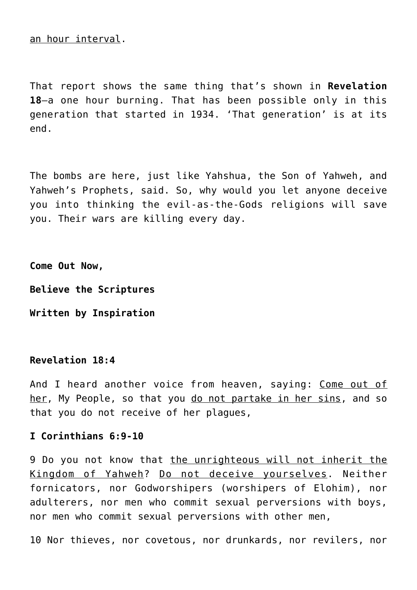an hour interval.

That report shows the same thing that's shown in **Revelation 18**—a one hour burning. That has been possible only in this generation that started in 1934. 'That generation' is at its end.

The bombs are here, just like Yahshua, the Son of Yahweh, and Yahweh's Prophets, said. So, why would you let anyone deceive you into thinking the evil-as-the-Gods religions will save you. Their wars are killing every day.

**Come Out Now,**

**Believe the Scriptures**

**Written by Inspiration**

# **Revelation 18:4**

And I heard another voice from heaven, saying: Come out of her, My People, so that you do not partake in her sins, and so that you do not receive of her plagues,

# **I Corinthians 6:9-10**

9 Do you not know that the unrighteous will not inherit the Kingdom of Yahweh? Do not deceive yourselves. Neither fornicators, nor Godworshipers (worshipers of Elohim), nor adulterers, nor men who commit sexual perversions with boys, nor men who commit sexual perversions with other men,

10 Nor thieves, nor covetous, nor drunkards, nor revilers, nor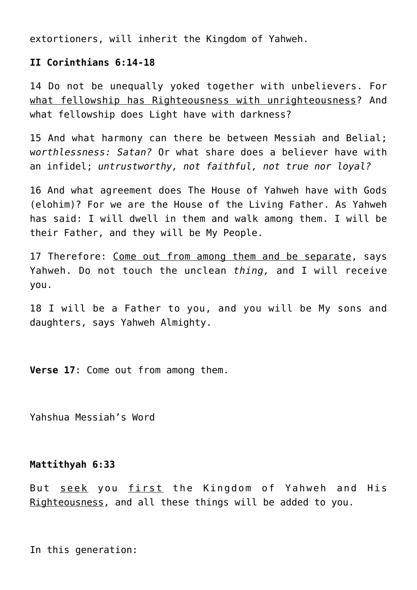extortioners, will inherit the Kingdom of Yahweh.

# **II Corinthians 6:14-18**

14 Do not be unequally yoked together with unbelievers. For what fellowship has Righteousness with unrighteousness? And what fellowship does Light have with darkness?

15 And what harmony can there be between Messiah and Belial; w*orthlessness: Satan?* Or what share does a believer have with an infidel; *untrustworthy, not faithful, not true nor loyal?*

16 And what agreement does The House of Yahweh have with Gods (elohim)? For we are the House of the Living Father. As Yahweh has said: I will dwell in them and walk among them. I will be their Father, and they will be My People.

17 Therefore: Come out from among them and be separate, says Yahweh. Do not touch the unclean *thing,* and I will receive you.

18 I will be a Father to you, and you will be My sons and daughters, says Yahweh Almighty.

**Verse 17**: Come out from among them.

Yahshua Messiah's Word

# **Mattithyah 6:33**

But seek you first the Kingdom of Yahweh and His Righteousness, and all these things will be added to you.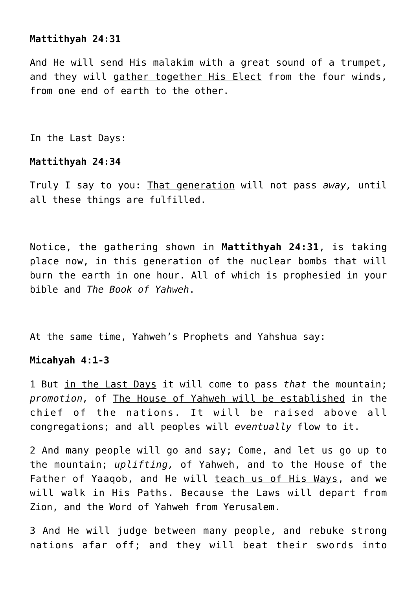# **Mattithyah 24:31**

And He will send His malakim with a great sound of a trumpet, and they will gather together His Elect from the four winds, from one end of earth to the other.

In the Last Days:

#### **Mattithyah 24:34**

Truly I say to you: That generation will not pass *away,* until all these things are fulfilled.

Notice, the gathering shown in **Mattithyah 24:31**, is taking place now, in this generation of the nuclear bombs that will burn the earth in one hour. All of which is prophesied in your bible and *The Book of Yahweh*.

At the same time, Yahweh's Prophets and Yahshua say:

# **Micahyah 4:1-3**

1 But in the Last Days it will come to pass *that* the mountain; *promotion,* of The House of Yahweh will be established in the chief of the nations. It will be raised above all congregations; and all peoples will *eventually* flow to it.

2 And many people will go and say; Come, and let us go up to the mountain; *uplifting,* of Yahweh, and to the House of the Father of Yaaqob, and He will teach us of His Ways, and we will walk in His Paths. Because the Laws will depart from Zion, and the Word of Yahweh from Yerusalem.

3 And He will judge between many people, and rebuke strong nations afar off; and they will beat their swords into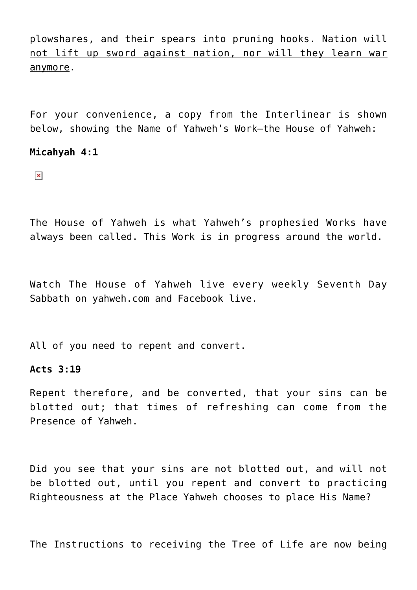plowshares, and their spears into pruning hooks. Nation will not lift up sword against nation, nor will they learn war anymore.

For your convenience, a copy from the Interlinear is shown below, showing the Name of Yahweh's Work—the House of Yahweh:

#### **Micahyah 4:1**

 $\pmb{\times}$ 

The House of Yahweh is what Yahweh's prophesied Works have always been called. This Work is in progress around the world.

Watch The House of Yahweh live every weekly Seventh Day Sabbath on yahweh.com and Facebook live.

All of you need to repent and convert.

# **Acts 3:19**

Repent therefore, and be converted, that your sins can be blotted out; that times of refreshing can come from the Presence of Yahweh.

Did you see that your sins are not blotted out, and will not be blotted out, until you repent and convert to practicing Righteousness at the Place Yahweh chooses to place His Name?

The Instructions to receiving the Tree of Life are now being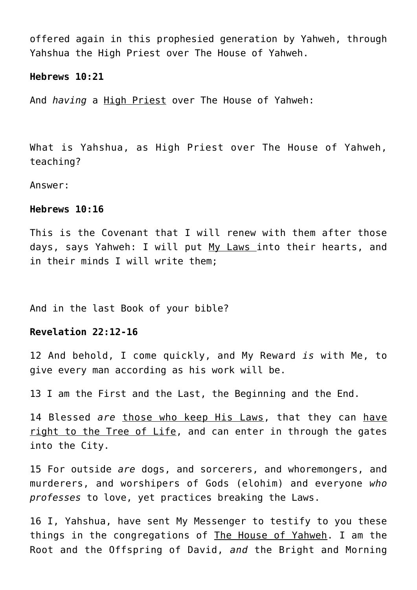offered again in this prophesied generation by Yahweh, through Yahshua the High Priest over The House of Yahweh.

#### **Hebrews 10:21**

And *having* a High Priest over The House of Yahweh:

What is Yahshua, as High Priest over The House of Yahweh, teaching?

Answer:

#### **Hebrews 10:16**

This is the Covenant that I will renew with them after those days, says Yahweh: I will put My Laws into their hearts, and in their minds I will write them;

And in the last Book of your bible?

#### **Revelation 22:12-16**

12 And behold, I come quickly, and My Reward *is* with Me, to give every man according as his work will be.

13 I am the First and the Last, the Beginning and the End.

14 Blessed *are* those who keep His Laws, that they can have right to the Tree of Life, and can enter in through the gates into the City.

15 For outside *are* dogs, and sorcerers, and whoremongers, and murderers, and worshipers of Gods (elohim) and everyone *who professes* to love, yet practices breaking the Laws.

16 I, Yahshua, have sent My Messenger to testify to you these things in the congregations of The House of Yahweh. I am the Root and the Offspring of David, *and* the Bright and Morning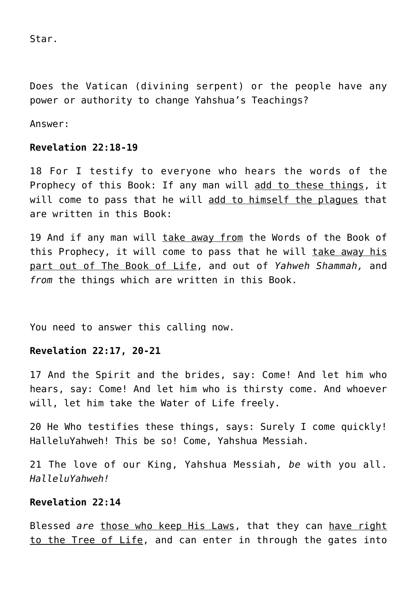Star.

Does the Vatican (divining serpent) or the people have any power or authority to change Yahshua's Teachings?

Answer:

#### **Revelation 22:18-19**

18 For I testify to everyone who hears the words of the Prophecy of this Book: If any man will add to these things, it will come to pass that he will add to himself the plagues that are written in this Book:

19 And if any man will take away from the Words of the Book of this Prophecy, it will come to pass that he will take away his part out of The Book of Life, and out of *Yahweh Shammah,* and *from* the things which are written in this Book.

You need to answer this calling now.

# **Revelation 22:17, 20-21**

17 And the Spirit and the brides, say: Come! And let him who hears, say: Come! And let him who is thirsty come. And whoever will, let him take the Water of Life freely.

20 He Who testifies these things, says: Surely I come quickly! HalleluYahweh! This be so! Come, Yahshua Messiah.

21 The love of our King, Yahshua Messiah, *be* with you all. *HalleluYahweh!*

# **Revelation 22:14**

Blessed *are* those who keep His Laws, that they can have right to the Tree of Life, and can enter in through the gates into